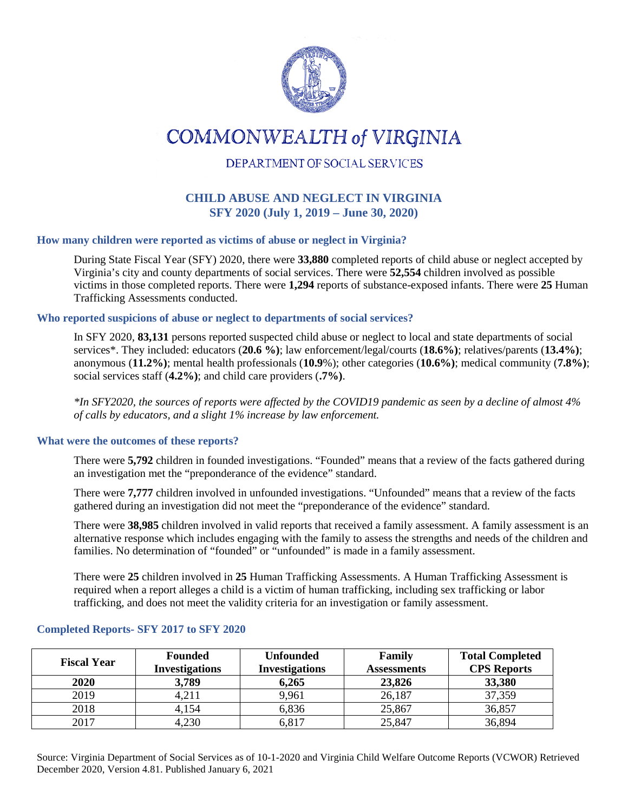

# **COMMONWEALTH of VIRGINIA**

# DEPARTMENT OF SOCIAL SERVICES

# **CHILD ABUSE AND NEGLECT IN VIRGINIA SFY 2020 (July 1, 2019 – June 30, 2020)**

## **How many children were reported as victims of abuse or neglect in Virginia?**

During State Fiscal Year (SFY) 2020, there were **33,880** completed reports of child abuse or neglect accepted by Virginia's city and county departments of social services. There were **52,554** children involved as possible victims in those completed reports. There were **1,294** reports of substance-exposed infants. There were **25** Human Trafficking Assessments conducted.

#### **Who reported suspicions of abuse or neglect to departments of social services?**

In SFY 2020*,* **83,131** persons reported suspected child abuse or neglect to local and state departments of social services\*. They included: educators (**20.6 %)**; law enforcement/legal/courts (**18.6%)**; relatives/parents (**13.4%)**; anonymous (**11.2%)**; mental health professionals (**10.9**%); other categories (**10.6%)**; medical community (**7.8%)**; social services staff (**4.2%)**; and child care providers (**.7%)**.

*\*In SFY2020, the sources of reports were affected by the COVID19 pandemic as seen by a decline of almost 4% of calls by educators, and a slight 1% increase by law enforcement.* 

#### **What were the outcomes of these reports?**

There were **5,792** children in founded investigations. "Founded" means that a review of the facts gathered during an investigation met the "preponderance of the evidence" standard.

There were **7,777** children involved in unfounded investigations. "Unfounded" means that a review of the facts gathered during an investigation did not meet the "preponderance of the evidence" standard.

There were **38,985** children involved in valid reports that received a family assessment. A family assessment is an alternative response which includes engaging with the family to assess the strengths and needs of the children and families. No determination of "founded" or "unfounded" is made in a family assessment.

There were **25** children involved in **25** Human Trafficking Assessments. A Human Trafficking Assessment is required when a report alleges a child is a victim of human trafficking, including sex trafficking or labor trafficking, and does not meet the validity criteria for an investigation or family assessment.

| <b>Fiscal Year</b> | <b>Founded</b><br><b>Investigations</b> | <b>Unfounded</b><br><b>Investigations</b> | Family<br><b>Assessments</b> | <b>Total Completed</b><br><b>CPS</b> Reports |
|--------------------|-----------------------------------------|-------------------------------------------|------------------------------|----------------------------------------------|
| <b>2020</b>        | 3,789                                   | 6,265                                     | 23,826                       | 33,380                                       |
| 2019               | 4,211                                   | 9,961                                     | 26,187                       | 37,359                                       |
| 2018               | 4,154                                   | 6,836                                     | 25,867                       | 36,857                                       |
| 2017               | 4,230                                   | 6,817                                     | 25,847                       | 36,894                                       |

#### **Completed Reports- SFY 2017 to SFY 2020**

Source: Virginia Department of Social Services as of 10-1-2020 and Virginia Child Welfare Outcome Reports (VCWOR) Retrieved December 2020, Version 4.81. Published January 6, 2021